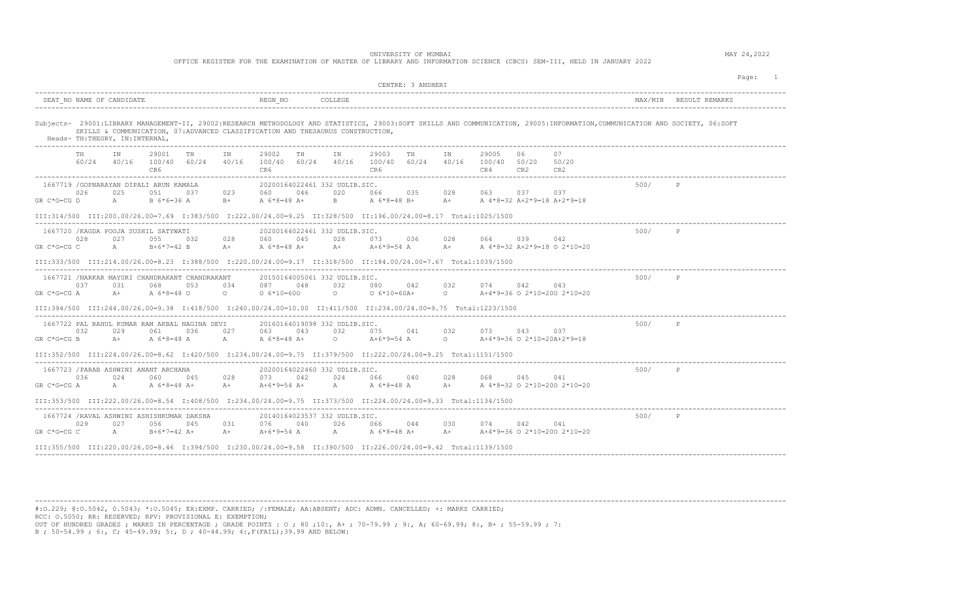OFFICE REGISTER FOR THE EXAMINATION OF MASTER OF LIBRARY AND INFORMATION SCIENCE (CBCS) SEM-III, HELD IN JANUARY 2022

|                                                                                                                                        | CENTRE: 3 ANDHERI                                                                                                                                                                    | Page:<br>$\overline{1}$ |
|----------------------------------------------------------------------------------------------------------------------------------------|--------------------------------------------------------------------------------------------------------------------------------------------------------------------------------------|-------------------------|
| SEAT NO NAME OF CANDIDATE                                                                                                              | REGN NO<br>COLLEGE                                                                                                                                                                   |                         |
| SKILLS & COMMUNICATION, 07:ADVANCED CLASSIFICATION AND THESAURUS CONSTRUCTION,<br>Heads- TH: THEORY, IN: INTERNAL,                     | Subjects- 29001:LIBRARY MANAGEMENT-II, 29002:RESEARCH METHODOLOGY AND STATISTICS, 29003:SOFT SKILLS AND COMMUNICATION, 29005:INFORMATION, COMMUNICATION AND SOCIETY, 06:SOFT         |                         |
| 29001<br>TH<br>TH.<br>IN<br>IN<br>$60/24$ $40/16$ $100/40$ $60/24$ $40/16$<br>CR6                                                      | 29003<br>29002<br>IN<br>TH<br>29005<br>06<br>07<br>TH<br>ΙN<br>40/16 100/40 60/24<br>40/16<br>100/40 50/20<br>100/40 60/24<br>50/20<br>CR6<br>CR6<br>CR4<br>CR2<br>CR2               |                         |
| 1667719 / GOPNARAYAN DIPALI ARUN KAMALA<br>026<br>025<br>051<br>023<br>037<br>$GR C*G=CG D$<br>$A \qquad \qquad$<br>B 6*6=36 A<br>$B+$ | 20200164022461 332 UDLIB.SIC.<br>046<br>020<br>028<br>063<br>037 - 10<br>037<br>060<br>066<br>035<br>$B$ and $B$<br>A 6*8=48 B+<br>A 4*8=32 A+2*9=18 A+2*9=18<br>A 6*8=48 A+<br>$A+$ | 500/<br>P               |
|                                                                                                                                        | III:314/500 III:200.00/26.00=7.69 I:383/500 I:222.00/24.00=9.25 II:328/500 II:196.00/24.00=8.17 Total:1025/1500                                                                      |                         |
| 1667720 / KAGDA POOJA SUSHIL SATYWATI<br>028<br>027<br>055 032<br>028<br>GR C*G=CG C<br>$A \qquad \qquad$<br>B+6*7=42 B<br>$A+$        | 20200164022461 332 UDLIB.SIC.<br>045<br>028<br>028<br>064<br>039<br>042<br>060<br>073<br>036<br>A 6*8=48 A+<br>A+ A+6*9=54 A A+<br>A 4*8=32 A+2*9=18 O 2*10=20                       | 500/<br>$\mathbb{P}$    |
|                                                                                                                                        | III:333/500 III:214.00/26.00=8.23 I:388/500 I:220.00/24.00=9.17 II:318/500 II:184.00/24.00=7.67 Total:1039/1500                                                                      |                         |
| 1667721 /NARKAR MAYURI CHANDRAKANT CHANDRAKANT<br>037<br>031<br>068<br>053<br>034<br>GR C*G=CG A<br>$A+$<br>A 6*8=48 O<br>$\circ$      | 20150164005061 332 UDLIB.SIC.<br>087<br>048<br>032<br>032<br>074<br>042<br>043<br>080<br>042<br>$0 6*10=60A+$<br>A+4*9=36 O 2*10=200 2*10=20<br>$0 6*10=600$                         | 500/<br>P               |
|                                                                                                                                        | III:394/500 III:244.00/26.00=9.38 I:418/500 I:240.00/24.00=10.00 II:411/500 II:234.00/24.00=9.75 Total:1223/1500                                                                     |                         |
| 1667722 PAL RAHUL KUMAR RAM AKBAL NAGINA DEVI<br>032<br>029<br>061 036<br>027<br>GR C*G=CG B<br>$A+$<br>A 6*8=48 A<br>$A \sim$         | 20160164019098 332 UDLIB.SIC.<br>043<br>032<br>073<br>043<br>063<br>075 041<br>032<br>037<br>A 6*8=48 A+<br>$0 \t\t\t A+6*9=54 \t\t A$ 0<br>A+4*9=36 O 2*10=20A+2*9=18               | 500/<br>$\mathbb P$     |
|                                                                                                                                        | III:352/500 III:224.00/26.00=8.62 I:420/500 I:234.00/24.00=9.75 II:379/500 II:222.00/24.00=9.25 Total:1151/1500                                                                      |                         |
| 1667723 / PARAB ASHWINI ANANT ARCHANA<br>036<br>024<br>028<br>060<br>045<br>GR C*G=CG A<br>$A \qquad \qquad$<br>A 6*8=48 A+<br>$A+$    | 20200164022460 332 UDLIB.SIC.<br>073<br>042<br>024<br>028<br>068<br>045<br>066<br>040<br>041<br>A 6*8=48 A<br>A+6*9=54 A+<br>$A \sim$<br>$A+$<br>A 4*8=32 O 2*10=200 2*10=20         | 500/<br>P               |
|                                                                                                                                        | III:353/500 III:222.00/26.00=8.54 I:408/500 I:234.00/24.00=9.75 II:373/500 II:224.00/24.00=9.33 Total:1134/1500                                                                      |                         |
| 1667724 / RAVAL ASHWINI ASHISHKUMAR DAKSHA<br>029<br>027<br>056 045<br>031<br>GR C*G=CG C<br>A<br>B+6*7=42 A+<br>$A+$                  | 20140164023537 332 UDLIB.SIC.<br>076 040<br>026 066 044<br>074<br>042<br>030<br>041<br>A+4*9=36 O 2*10=200 2*10=20<br>A+6*9=54 A<br>A A $6*8=48$ A+ A+                               | 500/<br>P               |
|                                                                                                                                        | III:355/500 III:220.00/26.00=8.46 I:394/500 I:230.00/24.00=9.58 II:390/500 II:226.00/24.00=9.42 Total:1139/1500                                                                      |                         |

---------------------------------------------------------------------------------------------------------------------------------------------------------------------------------------- #:O.229; @:O.5042, 0.5043; \*:O.5045; EX:EXMP. CARRIED; /:FEMALE; AA:ABSENT; ADC: ADMN. CANCELLED; +: MARKS CARRIED;

RCC: O.5050; RR: RESERVED; RPV: PROVISIONAL E: EXEMPTION;

OUT OF HUNDRED GRADES ; MARKS IN PERCENTAGE ; GRADE POINTS : O ; 80 ;10:, A+ ; 70-79.99 ; 9:, A; 60-69.99; 8:, B+ ; 55-59.99 ; 7:

B ; 50-54.99 ; 6:, C; 45-49.99; 5:, D ; 40-44.99; 4:,F(FAIL);39.99 AND BELOW: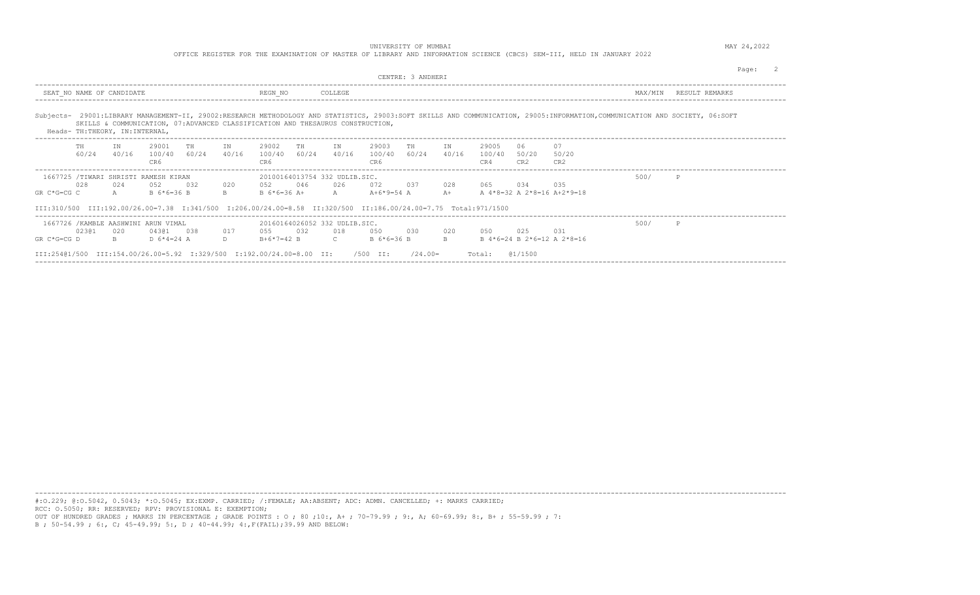extended to the contract of the contract of the contract of the contract of the contract of the contract of the contract of the contract of the contract of the contract of the contract of the contract of the contract of th CENTRE: 3 ANDHERI

OFFICE REGISTER FOR THE EXAMINATION OF MASTER OF LIBRARY AND INFORMATION SCIENCE (CBCS) SEM-III, HELD IN JANUARY 2022

---------------------------------------------------------------------------------------------------------------------------------------------------------------------------------------- SEAT\_NO NAME OF CANDIDATE A REGNINO REGNINO COLLEGE REGNINO COLLEGE REMARKS ---------------------------------------------------------------------------------------------------------------------------------------------------------------------------------------- Subjects- 29001:LIBRARY MANAGEMENT-II, 29002:RESEARCH METHODOLOGY AND STATISTICS, 29003:SOFT SKILLS AND COMMUNICATION, 29005:INFORMATION,COMMUNICATION AND SOCIETY, 06:SOFT SKILLS & COMMUNICATION, 07:ADVANCED CLASSIFICATION AND THESAURUS CONSTRUCTION, Heads- TH:THEORY, IN:INTERNAL, ---------------------------------------------------------------------------------------------------------------------------------------------------------------------------------------- TH IN 29001 TH IN 29002 TH IN 29003 TH IN 29005 06 07 60/24 40/16 100/40 60/24 40/16 100/40 60/24 40/16 100/40 60/24 40/16 100/40 50/20 50/20 CR6 CR6 CR6 CR4 CR2 CR2 ---------------------------------------------------------------------------------------------------------------------------------------------------------------------------------------- 1667725 /TIWARI SHRISTI RAMESH KIRAN 20100164013754 332 UDLIB.SIC. 500/ P 028 024 052 032 020 052 046 026 072 037 028 065 034 035 GR C\*G=CG C A B 6\*6=36 B B B 6\*6=36 A+ A A+6\*9=54 A A+ A 4\*8=32 A 2\*8=16 A+2\*9=18 III:310/500 III:192.00/26.00=7.38 I:341/500 I:206.00/24.00=8.58 II:320/500 II:186.00/24.00=7.75 Total:971/1500 ---------------------------------------------------------------------------------------------------------------------------------------------------------------------------------------- 1667726 /KAMBLE AASHWINI ARUN VIMAL 20160164026052 332 UDLIB.SIC. 500/ P 023@1 020 043@1 038 017 055 032 018 050 030 020 050 025 031 GR C\*G=CG D B D 6\*4=24 A D B+6\*7=42 B C B 6\*6=36 B B B 4\*6=24 B 2\*6=12 A 2\*8=16 III:254@1/500 III:154.00/26.00=5.92 I:329/500 I:192.00/24.00=8.00 II: /500 II: /24.00= Total: @1/1500 ----------------------------------------------------------------------------------------------------------------------------------------------------------------------------------------

----------------------------------------------------------------------------------------------------------------------------------------------------------------------------------------

#:O.229; @:O.5042, 0.5043; \*:O.5045; EX:EXMP. CARRIED; /:FEMALE; AA:ABSENT; ADC: ADMN. CANCELLED; +: MARKS CARRIED; RCC: O.5050; RR: RESERVED; RPV: PROVISIONAL E: EXEMPTION; OUT OF HUNDRED GRADES ; MARKS IN PERCENTAGE ; GRADE POINTS : O ; 80 ;10:, A+ ; 70-79.99 ; 9:, A; 60-69.99; 8:, B+ ; 55-59.99 ; 7: B ; 50-54.99 ; 6:, C; 45-49.99; 5:, D ; 40-44.99; 4:,F(FAIL);39.99 AND BELOW: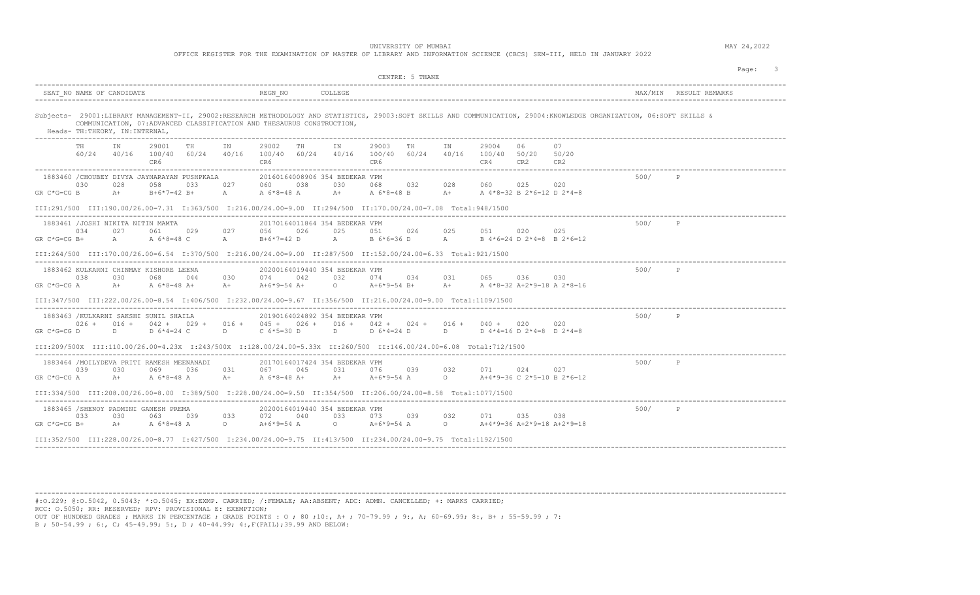OFFICE REGISTER FOR THE EXAMINATION OF MASTER OF LIBRARY AND INFORMATION SCIENCE (CBCS) SEM-III, HELD IN JANUARY 2022

|                                                                                                                                                | CENTRE: 5 THANE                                                                                                                                                                      |                      |
|------------------------------------------------------------------------------------------------------------------------------------------------|--------------------------------------------------------------------------------------------------------------------------------------------------------------------------------------|----------------------|
| SEAT NO NAME OF CANDIDATE                                                                                                                      | REGN NO<br>COLLEGE                                                                                                                                                                   | MAX/MIN              |
| COMMUNICATION, 07: ADVANCED CLASSIFICATION AND THESAURUS CONSTRUCTION,<br>Heads- TH: THEORY, IN: INTERNAL,                                     | Subjects- 29001:LIBRARY MANAGEMENT-II, 29002:RESEARCH METHODOLOGY AND STATISTICS, 29003:SOFT SKILLS AND COMMUNICATION, 29004:KNOWLEDGE ORGANIZATION, 06:SOFT SKILLS &                |                      |
| 29001<br>TH.<br>IN<br>TH<br>TN<br>100/40 60/24 40/16<br>60/24<br>40/16<br>CR6                                                                  | TN<br>29003<br>29004<br>06<br>07<br>29002<br>TH<br>IN<br>TH<br>40/16 100/40 60/24<br>40/16<br>100/40 60/24<br>100/40 50/20<br>50/20<br>CR6<br>CR6<br>CR4<br>CR2<br>CR2               |                      |
| 1883460 / CHOUBEY DIVYA JAYNARAYAN PUSHPKALA<br>030<br>028<br>058<br>033<br>027<br>$GR C*G=CG B$<br>$A +$<br>$B+6*7=42 B+$<br>$\mathbb A$      | 20160164008906 354 BEDEKAR VPM<br>025<br>038<br>030<br>068<br>032<br>028<br>060<br>020<br>060<br>$A+$<br>A 6*8=48 A<br>A 6*8=48 B<br>$A +$<br>A 4*8=32 B 2*6=12 D 2*4=8              | 500/                 |
|                                                                                                                                                | III:291/500 III:190.00/26.00=7.31 I:363/500 I:216.00/24.00=9.00 II:294/500 II:170.00/24.00=7.08 Total:948/1500                                                                       |                      |
| 1883461 /JOSHI NIKITA NITIN MAMTA<br>034<br>061<br>029<br>027<br>027<br>$GR C*G=CG B+$<br>A 6*8=48 C<br>$A \qquad \qquad$<br>$\mathbb A$       | 20170164011864 354 BEDEKAR VPM<br>026<br>025<br>025<br>020<br>025<br>056<br>051<br>026<br>051<br>$A \sim$<br>B+6*7=42 D<br>B 6*6=36 D<br>A<br>B $4*6=24$ D $2*4=8$ B $2*6=12$        | 500/<br>P            |
|                                                                                                                                                | III:264/500 III:170.00/26.00=6.54 I:370/500 I:216.00/24.00=9.00 II:287/500 II:152.00/24.00=6.33 Total:921/1500                                                                       |                      |
| 1883462 KULKARNI CHINMAY KISHORE LEENA<br>038<br>030<br>068<br>030<br>044<br>A $6*8=48$ A+<br>$GR C*G=CG A$<br>$A+$<br>$A+$                    | 20200164019440 354 BEDEKAR VPM<br>042<br>032<br>031<br>065<br>036 7<br>030<br>074<br>074<br>034<br>$A+6*9=54$ $A+$<br>$\circ$<br>$A+6*9=54$ B+<br>$A+$<br>A 4*8=32 A+2*9=18 A 2*8=16 | 500/<br>P            |
|                                                                                                                                                | III:347/500 III:222.00/26.00=8.54 I:406/500 I:232.00/24.00=9.67 II:356/500 II:216.00/24.00=9.00 Total:1109/1500                                                                      |                      |
| 1883463 /KULKARNI SAKSHI SUNIL SHAILA<br>$026 +$<br>$016 +$<br>$042 + 029 + 016 + 045 + 026 +$<br>GR C*G=CG D<br>$D \sim 1$<br>D 6*4=24 C<br>D | 20190164024892 354 BEDEKAR VPM<br>$016 + 042 + 024 + 016 +$<br>$040 + 020$<br>020<br>C 6*5=30 D<br>$D \sim 1$<br>D $6*4=24$ D<br>$D \sim 1$<br>D $4*4=16$ D $2*4=8$ D $2*4=8$        | 500/<br>$\mathbb{P}$ |
|                                                                                                                                                | III:209/500X III:110.00/26.00=4.23X I:243/500X I:128.00/24.00=5.33X II:260/500 II:146.00/24.00=6.08 Total:712/1500                                                                   |                      |
| 1883464 /MOILYDEVA PRITI RAMESH MEENANADI<br>039<br>030<br>069<br>036<br>031<br>$A +$<br>GR C*G=CG A<br>A 6*8=48 A<br>$A+$                     | 20170164017424 354 BEDEKAR VPM<br>031<br>076<br>039<br>032<br>071<br>024<br>067<br>045<br>027<br>$A+$<br>A+6*9=54 A O<br>A+4*9=36 C 2*5=10 B 2*6=12<br>A 6*8=48 A+                   | 500/<br>$\mathbb{P}$ |
|                                                                                                                                                | III:334/500 III:208.00/26.00=8.00 I:389/500 I:228.00/24.00=9.50 II:354/500 II:206.00/24.00=8.58 Total:1077/1500                                                                      |                      |
| 1883465 /SHENOY PADMINI GANESH PREMA<br>033<br>030<br>063<br>039<br>033<br>$GR C*G=CG B+$<br>$A+$<br>A 6*8=48 A<br>$\circ$                     | 20200164019440 354 BEDEKAR VPM<br>033<br>072<br>040<br>073<br>039<br>032<br>071<br>035<br>038<br>$\Omega$<br>A+6*9=54 A<br>$\Omega$<br>A+4*9=36 A+2*9=18 A+2*9=18<br>A+6*9=54 A      | 500/<br>P            |
| III:352/500 III:228.00/26.00=8.77 I:427/500 I:234.00/24.00=9.75 II:413/500 II:234.00/24.00=9.75 Total:1192/1500                                |                                                                                                                                                                                      |                      |

----------------------------------------------------------------------------------------------------------------------------------------------------------------------------------------

#:O.229; @:O.5042, 0.5043; \*:O.5045; EX:EXMP. CARRIED; /:FEMALE; AA:ABSENT; ADC: ADMN. CANCELLED; +: MARKS CARRIED; RCC: O.5050; RR: RESERVED; RPV: PROVISIONAL E: EXEMPTION; OUT OF HUNDRED GRADES ; MARKS IN PERCENTAGE ; GRADE POINTS : O ; 80 ;10:, A+ ; 70-79.99 ; 9:, A; 60-69.99; 8:, B+ ; 55-59.99 ; 7:

B ; 50-54.99 ; 6:, C; 45-49.99; 5:, D ; 40-44.99; 4:,F(FAIL);39.99 AND BELOW: